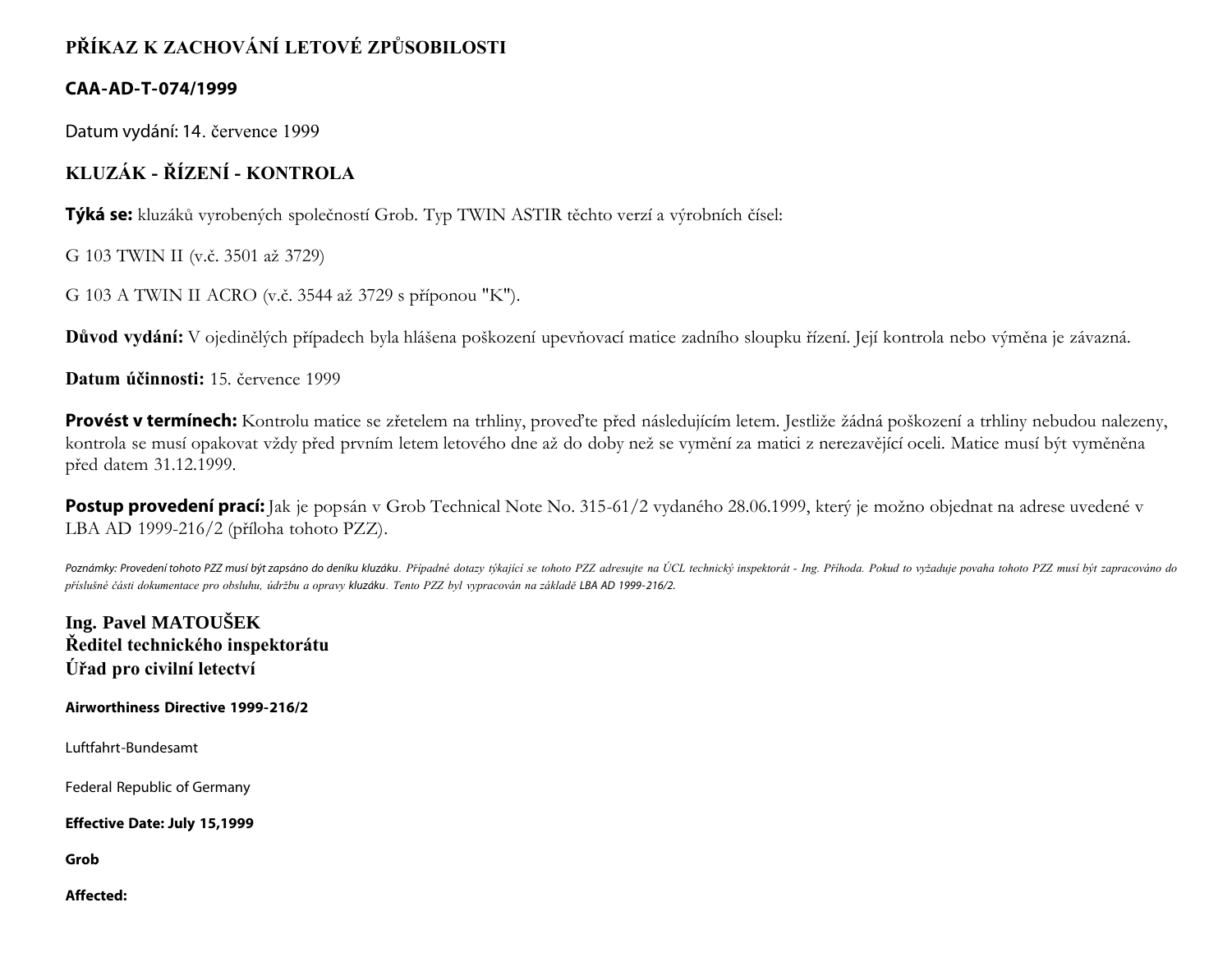# **PŘÍKAZ K ZACHOVÁNÍ LETOVÉ ZPŮSOBILOSTI**

# **CAA-AD-T-074/1999**

Datum vydání: 14. července 1999

# **KLUZÁK - ŘÍZENÍ - KONTROLA**

**Týká se:** kluzáků vyrobených společností Grob. Typ TWIN ASTIR těchto verzí a výrobních čísel:

G 103 TWIN II (v.č. 3501 až 3729)

G 103 A TWIN II ACRO (v.č. 3544 až 3729 s příponou "K").

**Důvod vydání:** V ojedinělých případech byla hlášena poškození upevňovací matice zadního sloupku řízení. Její kontrola nebo výměna je závazná.

**Datum účinnosti:** 15. července 1999

Provést v termínech: Kontrolu matice se zřetelem na trhliny, proveďte před následujícím letem. Jestliže žádná poškození a trhliny nebudou nalezeny, kontrola se musí opakovat vždy před prvním letem letového dne až do doby než se vymění za matici z nerezavějící oceli. Matice musí být vyměněna před datem 31.12.1999.

**Postup provedení prací:** Jak je popsán v Grob Technical Note No. 315-61/2 vydaného 28.06.1999, který je možno objednat na adrese uvedené v LBA AD 1999-216/2 (příloha tohoto PZZ).

Poznámky: Provedení tohoto PZZ musí být zapsáno do deníku kluzáku. Případné dotazy týkající se tohoto PZZ adresujte na ÚCL technický inspektorát - Ing. Příhoda. Pokud to vyžaduje povaha tohoto PZZ musí být zapracováno do *příslušné části dokumentace pro obsluhu, údržbu a opravy kluzáku. Tento PZZ byl vypracován na základě LBA AD 1999- 216/2.*

**Ing. Pavel MATOUŠEK Ředitel technického inspektorátu Úřad pro civilní letectví**

**Airworthiness Directive 1999-216/2**

Luftfahrt-Bundesamt

Federal Republic of Germany

**Effective Date: July 15,1999**

**Grob**

**Affected:**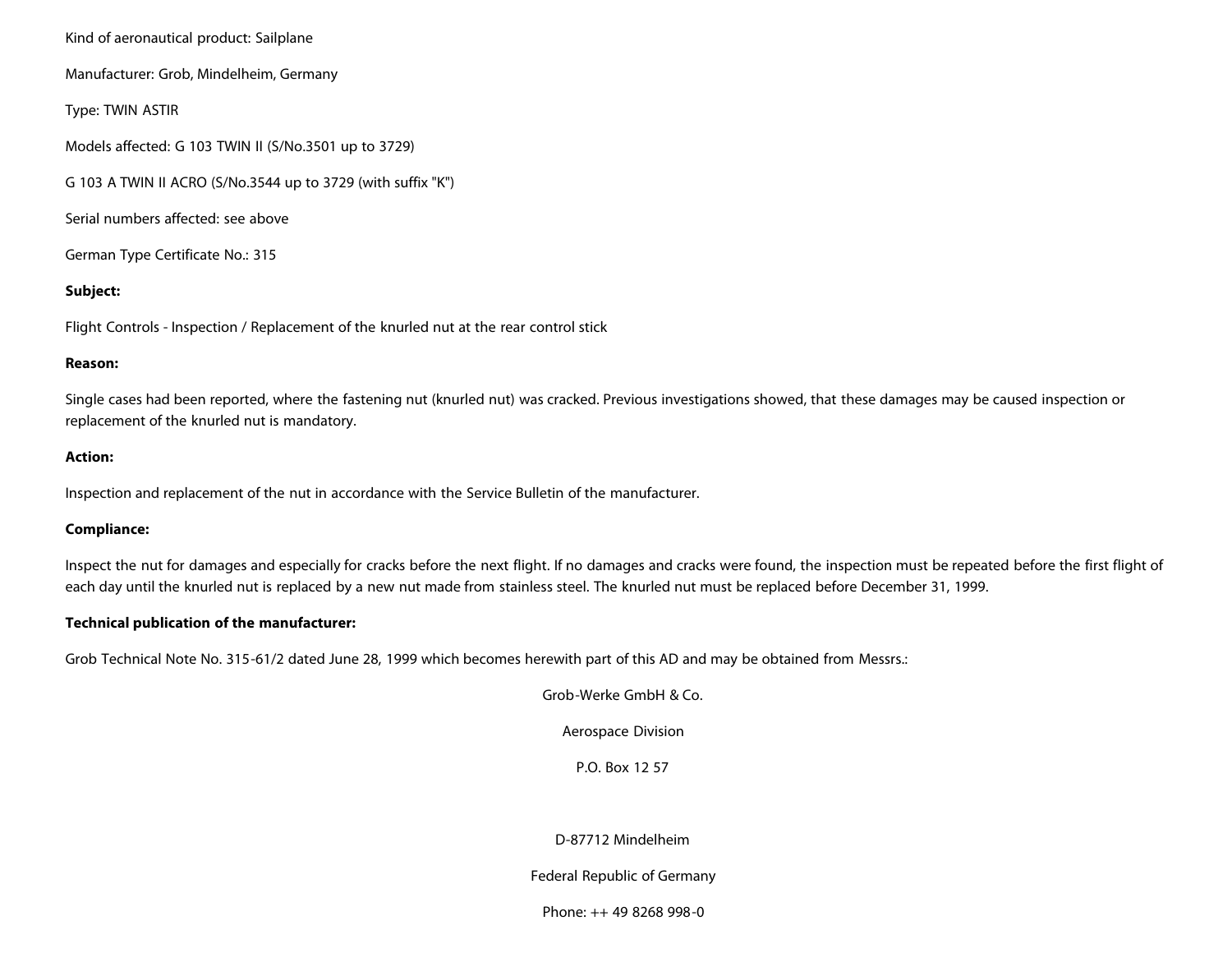Kind of aeronautical product: Sailplane

Manufacturer: Grob, Mindelheim, Germany

Type: TWIN ASTIR

Models affected: G 103 TWIN II (S/No.3501 up to 3729)

G 103 A TWIN II ACRO (S/No.3544 up to 3729 (with suffix "K")

Serial numbers affected: see above

German Type Certificate No.: 315

# **Subject:**

Flight Controls - Inspection / Replacement of the knurled nut at the rear control stick

#### **Reason:**

Single cases had been reported, where the fastening nut (knurled nut) was cracked. Previous investigations showed, that these damages may be caused inspection or replacement of the knurled nut is mandatory.

### **Action:**

Inspection and replacement of the nut in accordance with the Service Bulletin of the manufacturer.

# **Compliance:**

Inspect the nut for damages and especially for cracks before the next flight. If no damages and cracks were found, the inspection must be repeated before the first flight of each day until the knurled nut is replaced by a new nut made from stainless steel. The knurled nut must be replaced before December 31, 1999.

#### **Technical publication of the manufacturer:**

Grob Technical Note No. 315-61/2 dated June 28, 1999 which becomes herewith part of this AD and may be obtained from Messrs.:

Grob-Werke GmbH & Co.

Aerospace Division

P.O. Box 12 57

# D-87712 Mindelheim

Federal Republic of Germany

Phone: ++ 49 8268 998-0